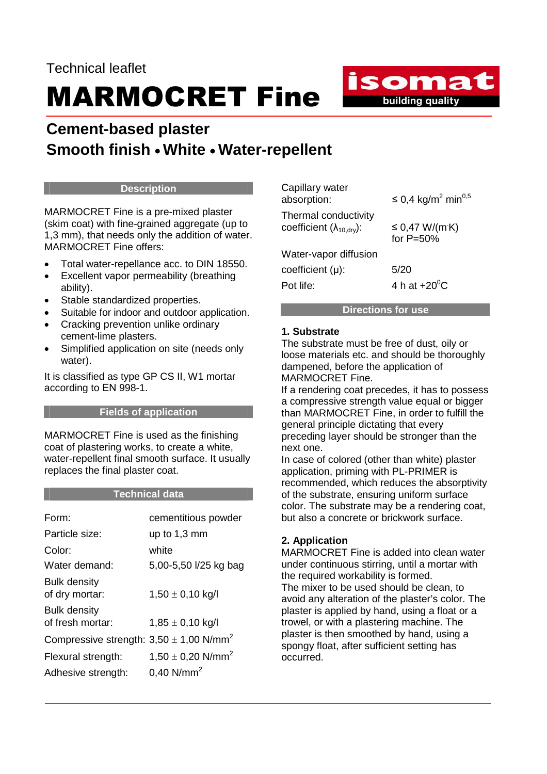# MARMOCRET Fine

## **Cement-based plaster Smooth finish** • **White** • **Water-repellent**

#### **Description**

MARMOCRET Fine is a pre-mixed plaster (skim coat) with fine-grained aggregate (up to 1,3 mm), that needs only the addition of water. MARMOCRET Fine offers:

- Total water-repellance acc. to DIN 18550.
- Excellent vapor permeability (breathing ability).
- Stable standardized properties.
- Suitable for indoor and outdoor application.
- Cracking prevention unlike ordinary cement-lime plasters.
- Simplified application on site (needs only water).

It is classified as type GP CS IΙ, W1 mortar according to ΕΝ 998-1.

#### **Fields of application**

MARMOCRET Fine is used as the finishing coat of plastering works, to create a white, water-repellent final smooth surface. It usually replaces the final plaster coat.

### **Technical data**

| Form:                                                   | cementitious powder               |
|---------------------------------------------------------|-----------------------------------|
| Particle size:                                          | up to $1,3 \text{ mm}$            |
| Color:                                                  | white                             |
| Water demand:                                           | 5,00-5,50 l/25 kg bag             |
| <b>Bulk density</b><br>of dry mortar:                   | $1,50 \pm 0,10$ kg/l              |
| <b>Bulk density</b><br>of fresh mortar:                 | $1,85 \pm 0,10$ kg/l              |
| Compressive strength: $3,50 \pm 1,00$ N/mm <sup>2</sup> |                                   |
| Flexural strength:                                      | 1,50 $\pm$ 0,20 N/mm <sup>2</sup> |
| Adhesive strength:                                      | $0,40$ N/mm <sup>2</sup>          |

| Capillary water<br>absorption:                                         | ≤ 0,4 kg/m <sup>2</sup> min <sup>0,5</sup> |
|------------------------------------------------------------------------|--------------------------------------------|
| Thermal conductivity<br>coefficient $(\lambda_{10.0}$ <sub>iv</sub> ): | $\leq$ 0,47 W/(m K)<br>for $P=50%$         |
| Water-vapor diffusion                                                  |                                            |
| coefficient (µ):                                                       | 5/20                                       |
| Pot life:                                                              | 4 h at $+20^{\circ}$ C                     |
|                                                                        |                                            |

isomat building quality

#### **Directions for use**

#### **1. Substrate**

The substrate must be free of dust, oily or loose materials etc. and should be thoroughly dampened, before the application of MARMOCRET Fine.

If a rendering coat precedes, it has to possess a compressive strength value equal or bigger than MARMOCRET Fine, in order to fulfill the general principle dictating that every preceding layer should be stronger than the next one.

In case of colored (other than white) plaster application, priming with PL-PRIMER is recommended, which reduces the absorptivity of the substrate, ensuring uniform surface color. The substrate may be a rendering coat, but also a concrete or brickwork surface.

### **2. Application**

MARMOCRET Fine is added into clean water under continuous stirring, until a mortar with the required workability is formed. The mixer to be used should be clean, to avoid any alteration of the plaster's color. The plaster is applied by hand, using a float or a trowel, or with a plastering machine. The plaster is then smoothed by hand, using a spongy float, after sufficient setting has occurred.